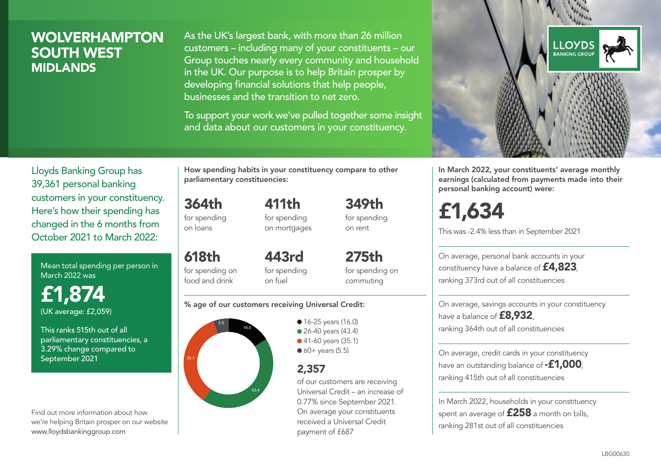## **WOLVERHAMPTON** SOUTH WEST MIDLANDS

As the UK's largest bank, with more than 26 million customers – including many of your constituents – our Group touches nearly every community and household in the UK. Our purpose is to help Britain prosper by developing financial solutions that help people, businesses and the transition to net zero.

To support your work we've pulled together some insight and data about our customers in your constituency.



In March 2022, your constituents' average monthly earnings (calculated from payments made into their personal banking account) were:

# £1,634

This was -2.4% less than in September 2021

On average, personal bank accounts in your constituency have a balance of **£4,823**, ranking 373rd out of all constituencies

On average, savings accounts in your constituency have a balance of **£8,932** ranking 364th out of all constituencies

On average, credit cards in your constituency have an outstanding balance of **-£1,000** ranking 415th out of all constituencies

In March 2022, households in your constituency spent an average of £258 a month on bills, ranking 281st out of all constituencies

Lloyds Banking Group has 39,361 personal banking customers in your constituency. Here's how their spending has changed in the 6 months from October 2021 to March 2022:

Mean total spending per person in March 2022 was

£1,874 (UK average: £2,059)

This ranks 515th out of all parliamentary constituencies, a 3.29% change compared to September 2021

Find out more information about how we're helping Britain prosper on our website www.lloydsbankinggroup.com

How spending habits in your constituency compare to other parliamentary constituencies:

364th for spending 411th

on loans

618th

for spending on mortgages 349th for spending on rent

for spending on food and drink 443rd for spending on fuel

275th for spending on commuting

#### % age of our customers receiving Universal Credit:



**16-25 years (16.0)** • 26-40 years (43.4) ● 41-60 years (35.1)  $60+$  years (5.5)

### 2,357

of our customers are receiving Universal Credit – an increase of 0.77% since September 2021. On average your constituents received a Universal Credit payment of £687